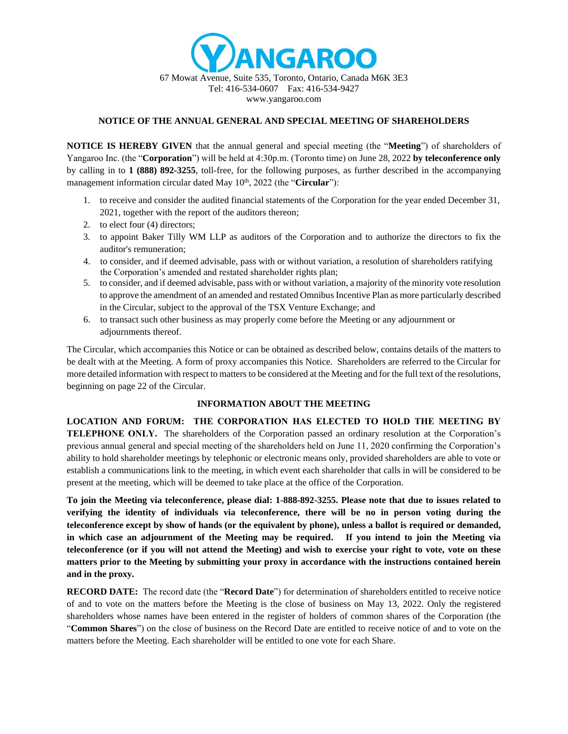

### **NOTICE OF THE ANNUAL GENERAL AND SPECIAL MEETING OF SHAREHOLDERS**

**NOTICE IS HEREBY GIVEN** that the annual general and special meeting (the "**Meeting**") of shareholders of Yangaroo Inc. (the "**Corporation**") will be held at 4:30p.m. (Toronto time) on June 28, 2022 **by teleconference only** by calling in to **1 (888) 892-3255**, toll-free, for the following purposes, as further described in the accompanying management information circular dated May 10<sup>th</sup>, 2022 (the "**Circular**"):

- 1. to receive and consider the audited financial statements of the Corporation for the year ended December 31, 2021, together with the report of the auditors thereon;
- 2. to elect four (4) directors;
- 3. to appoint Baker Tilly WM LLP as auditors of the Corporation and to authorize the directors to fix the auditor's remuneration;
- 4. to consider, and if deemed advisable, pass with or without variation, a resolution of shareholders ratifying the Corporation's amended and restated shareholder rights plan;
- 5. to consider, and if deemed advisable, pass with or without variation, a majority of the minority vote resolution to approve the amendment of an amended and restated Omnibus Incentive Plan as more particularly described in the Circular, subject to the approval of the TSX Venture Exchange; and
- 6. to transact such other business as may properly come before the Meeting or any adjournment or adjournments thereof.

The Circular, which accompanies this Notice or can be obtained as described below, contains details of the matters to be dealt with at the Meeting. A form of proxy accompanies this Notice. Shareholders are referred to the Circular for more detailed information with respect to matters to be considered at the Meeting and for the full text of the resolutions, beginning on page 22 of the Circular.

#### **INFORMATION ABOUT THE MEETING**

**LOCATION AND FORUM: THE CORPORATION HAS ELECTED TO HOLD THE MEETING BY TELEPHONE ONLY.** The shareholders of the Corporation passed an ordinary resolution at the Corporation's previous annual general and special meeting of the shareholders held on June 11, 2020 confirming the Corporation's ability to hold shareholder meetings by telephonic or electronic means only, provided shareholders are able to vote or establish a communications link to the meeting, in which event each shareholder that calls in will be considered to be present at the meeting, which will be deemed to take place at the office of the Corporation.

**To join the Meeting via teleconference, please dial: 1-888-892-3255. Please note that due to issues related to verifying the identity of individuals via teleconference, there will be no in person voting during the teleconference except by show of hands (or the equivalent by phone), unless a ballot is required or demanded, in which case an adjournment of the Meeting may be required. If you intend to join the Meeting via teleconference (or if you will not attend the Meeting) and wish to exercise your right to vote, vote on these matters prior to the Meeting by submitting your proxy in accordance with the instructions contained herein and in the proxy.** 

**RECORD DATE:** The record date (the "**Record Date**") for determination of shareholders entitled to receive notice of and to vote on the matters before the Meeting is the close of business on May 13, 2022. Only the registered shareholders whose names have been entered in the register of holders of common shares of the Corporation (the "**Common Shares**") on the close of business on the Record Date are entitled to receive notice of and to vote on the matters before the Meeting. Each shareholder will be entitled to one vote for each Share.